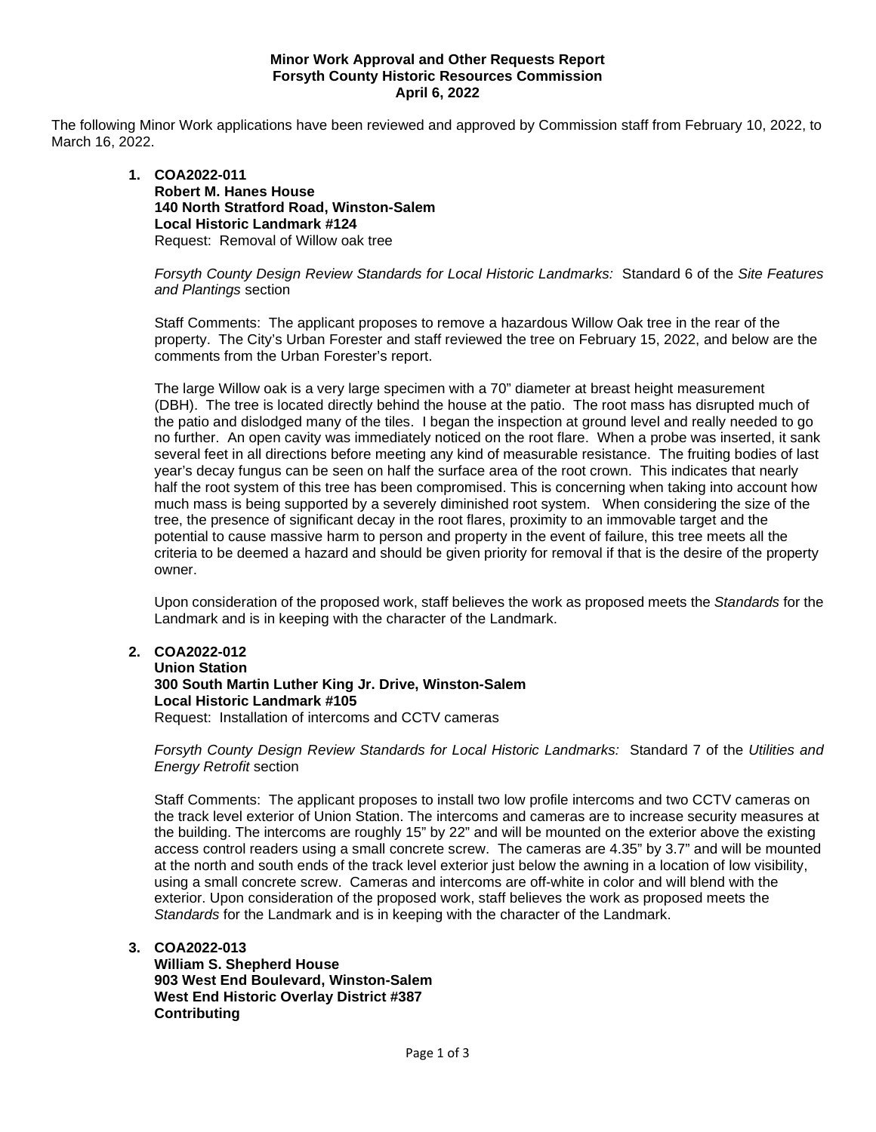### **Minor Work Approval and Other Requests Report Forsyth County Historic Resources Commission April 6, 2022**

The following Minor Work applications have been reviewed and approved by Commission staff from February 10, 2022, to March 16, 2022.

## **1. COA2022-011 Robert M. Hanes House 140 North Stratford Road, Winston-Salem Local Historic Landmark #124** Request: Removal of Willow oak tree

## *Forsyth County Design Review Standards for Local Historic Landmarks:* Standard 6 of the *Site Features and Plantings* section

Staff Comments: The applicant proposes to remove a hazardous Willow Oak tree in the rear of the property. The City's Urban Forester and staff reviewed the tree on February 15, 2022, and below are the comments from the Urban Forester's report.

The large Willow oak is a very large specimen with a 70" diameter at breast height measurement (DBH). The tree is located directly behind the house at the patio. The root mass has disrupted much of the patio and dislodged many of the tiles. I began the inspection at ground level and really needed to go no further. An open cavity was immediately noticed on the root flare. When a probe was inserted, it sank several feet in all directions before meeting any kind of measurable resistance. The fruiting bodies of last year's decay fungus can be seen on half the surface area of the root crown. This indicates that nearly half the root system of this tree has been compromised. This is concerning when taking into account how much mass is being supported by a severely diminished root system. When considering the size of the tree, the presence of significant decay in the root flares, proximity to an immovable target and the potential to cause massive harm to person and property in the event of failure, this tree meets all the criteria to be deemed a hazard and should be given priority for removal if that is the desire of the property owner.

Upon consideration of the proposed work, staff believes the work as proposed meets the *Standards* for the Landmark and is in keeping with the character of the Landmark.

# **2. COA2022-012**

**Union Station 300 South Martin Luther King Jr. Drive, Winston-Salem Local Historic Landmark #105** Request: Installation of intercoms and CCTV cameras

*Forsyth County Design Review Standards for Local Historic Landmarks:* Standard 7 of the *Utilities and Energy Retrofit* section

Staff Comments: The applicant proposes to install two low profile intercoms and two CCTV cameras on the track level exterior of Union Station. The intercoms and cameras are to increase security measures at the building. The intercoms are roughly 15" by 22" and will be mounted on the exterior above the existing access control readers using a small concrete screw. The cameras are 4.35" by 3.7" and will be mounted at the north and south ends of the track level exterior just below the awning in a location of low visibility, using a small concrete screw. Cameras and intercoms are off-white in color and will blend with the exterior. Upon consideration of the proposed work, staff believes the work as proposed meets the *Standards* for the Landmark and is in keeping with the character of the Landmark.

**3. COA2022-013**

**William S. Shepherd House 903 West End Boulevard, Winston-Salem West End Historic Overlay District #387 Contributing**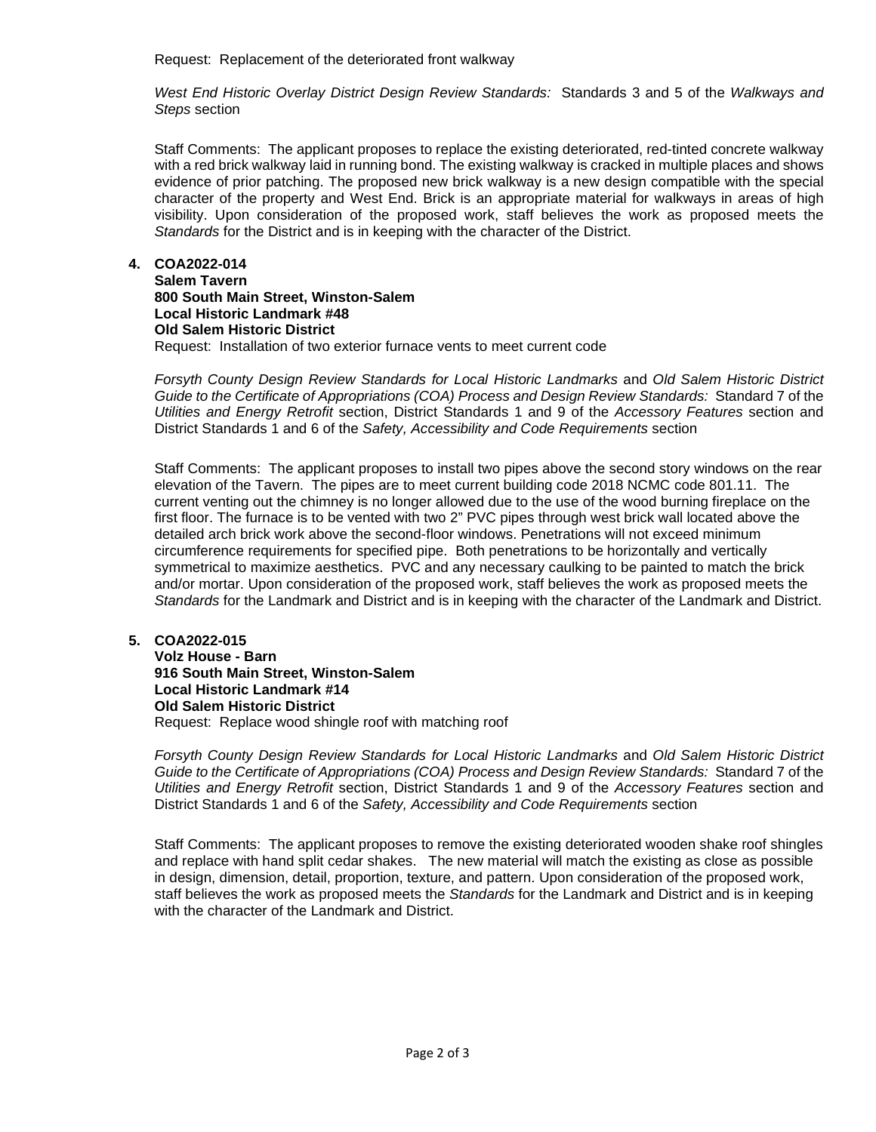Request: Replacement of the deteriorated front walkway

*West End Historic Overlay District Design Review Standards:* Standards 3 and 5 of the *Walkways and Steps* section

Staff Comments: The applicant proposes to replace the existing deteriorated, red-tinted concrete walkway with a red brick walkway laid in running bond. The existing walkway is cracked in multiple places and shows evidence of prior patching. The proposed new brick walkway is a new design compatible with the special character of the property and West End. Brick is an appropriate material for walkways in areas of high visibility. Upon consideration of the proposed work, staff believes the work as proposed meets the *Standards* for the District and is in keeping with the character of the District.

## **4. COA2022-014**

**Salem Tavern 800 South Main Street, Winston-Salem Local Historic Landmark #48 Old Salem Historic District** Request: Installation of two exterior furnace vents to meet current code

*Forsyth County Design Review Standards for Local Historic Landmarks* and *Old Salem Historic District Guide to the Certificate of Appropriations (COA) Process and Design Review Standards:* Standard 7 of the *Utilities and Energy Retrofit* section, District Standards 1 and 9 of the *Accessory Features* section and District Standards 1 and 6 of the *Safety, Accessibility and Code Requirements* section

Staff Comments: The applicant proposes to install two pipes above the second story windows on the rear elevation of the Tavern. The pipes are to meet current building code 2018 NCMC code 801.11. The current venting out the chimney is no longer allowed due to the use of the wood burning fireplace on the first floor. The furnace is to be vented with two 2" PVC pipes through west brick wall located above the detailed arch brick work above the second-floor windows. Penetrations will not exceed minimum circumference requirements for specified pipe. Both penetrations to be horizontally and vertically symmetrical to maximize aesthetics. PVC and any necessary caulking to be painted to match the brick and/or mortar. Upon consideration of the proposed work, staff believes the work as proposed meets the *Standards* for the Landmark and District and is in keeping with the character of the Landmark and District.

### **5. COA2022-015**

**Volz House - Barn 916 South Main Street, Winston-Salem Local Historic Landmark #14 Old Salem Historic District** Request: Replace wood shingle roof with matching roof

*Forsyth County Design Review Standards for Local Historic Landmarks* and *Old Salem Historic District Guide to the Certificate of Appropriations (COA) Process and Design Review Standards:* Standard 7 of the *Utilities and Energy Retrofit* section, District Standards 1 and 9 of the *Accessory Features* section and District Standards 1 and 6 of the *Safety, Accessibility and Code Requirements* section

Staff Comments: The applicant proposes to remove the existing deteriorated wooden shake roof shingles and replace with hand split cedar shakes. The new material will match the existing as close as possible in design, dimension, detail, proportion, texture, and pattern. Upon consideration of the proposed work, staff believes the work as proposed meets the *Standards* for the Landmark and District and is in keeping with the character of the Landmark and District.